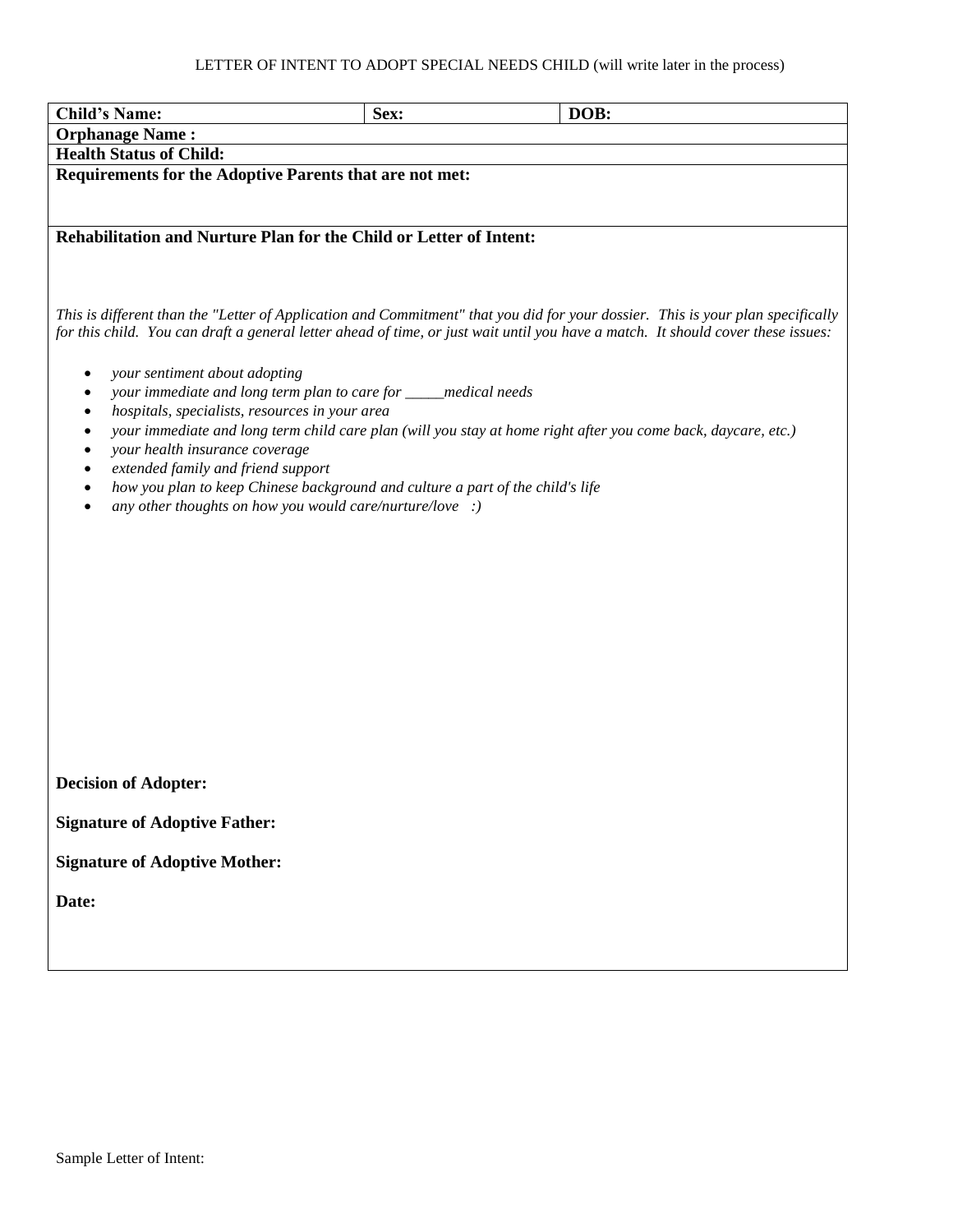## LETTER OF INTENT TO ADOPT SPECIAL NEEDS CHILD (will write later in the process)

| <b>Child's Name:</b>                                                                                                                                                                                                                                                | Sex: | DOB: |
|---------------------------------------------------------------------------------------------------------------------------------------------------------------------------------------------------------------------------------------------------------------------|------|------|
| <b>Orphanage Name:</b>                                                                                                                                                                                                                                              |      |      |
| <b>Health Status of Child:</b>                                                                                                                                                                                                                                      |      |      |
| Requirements for the Adoptive Parents that are not met:                                                                                                                                                                                                             |      |      |
|                                                                                                                                                                                                                                                                     |      |      |
| Rehabilitation and Nurture Plan for the Child or Letter of Intent:                                                                                                                                                                                                  |      |      |
| This is different than the "Letter of Application and Commitment" that you did for your dossier. This is your plan specifically<br>for this child. You can draft a general letter ahead of time, or just wait until you have a match. It should cover these issues: |      |      |
| your sentiment about adopting<br>٠                                                                                                                                                                                                                                  |      |      |
| your immediate and long term plan to care for _____medical needs<br>٠                                                                                                                                                                                               |      |      |
| hospitals, specialists, resources in your area<br>$\bullet$<br>your immediate and long term child care plan (will you stay at home right after you come back, daycare, etc.)<br>$\bullet$                                                                           |      |      |
| your health insurance coverage<br>$\bullet$                                                                                                                                                                                                                         |      |      |
| extended family and friend support<br>$\bullet$                                                                                                                                                                                                                     |      |      |
| how you plan to keep Chinese background and culture a part of the child's life<br>٠<br>any other thoughts on how you would care/nurture/love :)                                                                                                                     |      |      |
|                                                                                                                                                                                                                                                                     |      |      |
|                                                                                                                                                                                                                                                                     |      |      |
|                                                                                                                                                                                                                                                                     |      |      |
|                                                                                                                                                                                                                                                                     |      |      |
|                                                                                                                                                                                                                                                                     |      |      |
|                                                                                                                                                                                                                                                                     |      |      |
|                                                                                                                                                                                                                                                                     |      |      |
|                                                                                                                                                                                                                                                                     |      |      |
|                                                                                                                                                                                                                                                                     |      |      |
|                                                                                                                                                                                                                                                                     |      |      |
| <b>Decision of Adopter:</b>                                                                                                                                                                                                                                         |      |      |
| <b>Signature of Adoptive Father:</b>                                                                                                                                                                                                                                |      |      |
| <b>Signature of Adoptive Mother:</b>                                                                                                                                                                                                                                |      |      |
| Date:                                                                                                                                                                                                                                                               |      |      |
|                                                                                                                                                                                                                                                                     |      |      |
|                                                                                                                                                                                                                                                                     |      |      |